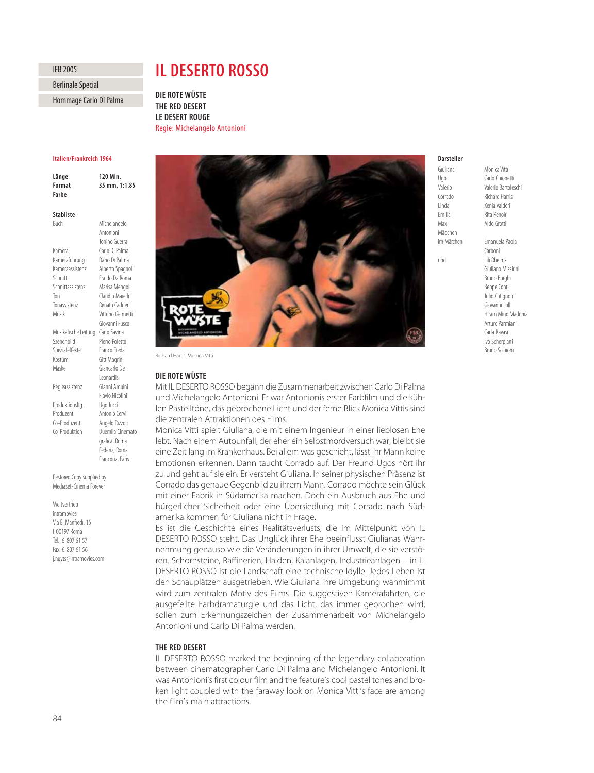# **IFB 2005**

**Berlinale Special** 

#### Hommage Carlo Di Palma Hommage Carlo Di Palma

# **II DESERTO ROSSO**

**DIE ROTE WÜSTE THE RED DESERT LE DESERT ROUGE Regie: Michelange** Regie: Michelangelo Antonioni

#### **Italien/Frankreich 1964**

120 Min Länge **Format** 35 mm, 1:1.85 **Format 35 mm, 1:1.85**

## **Stabliste**

**Buch** Michelangelo Antonioni Tonino Guerra Kamera Carlo Di Palma Kameraführung Dario Di Palma Kameraassistenz Alberto Spagnoli Schnitt Eraldo Da Roma Schnittassistenz Marisa Mengoli Ton Claudio Maielli Tonassistenz Renato Cadueri Musik Vittorio Gelmetti Giovanni Fusco Musikalische Leitung Carlo Savina Szenenbild Pierro Poletto Spezialeffekte Franco Freda Kostüm Gitt Magrini Maske Giancarlo De Leonardis Regieassistenz Gianni Arduini Flavio Nicolini Produktionsltg. Ugo Tucci Produzent Antonio Cervi Co-Produzent Angelo Rizzoli Co-Produktion Duemila Cinematografica, Roma Federiz, Roma Francoriz, Paris

Restored Copy supplied by Mediaset-Cinema Forever

Weltvertrieb intramovies Via E. Manfredi, 15 I-00197 Roma Tel.: 6-807 61 57 Fax: 6-807 61 56 j.nuyts@intramovies.com



Richard Harris, Monica Vitti

#### DIE ROTE WÜSTE

**DIE ROTE WÜSTE** Mit IL DESERTO ROSSO begann die Zusammenarbeit zwischen Carlo Di Palma und Michelangelo Antonioni. Er war Antonionis erster Farbfilm und die kühlen Pastelltöne, das gebrochene Licht und der ferne Blick Monica Vittis sind die zentralen Attraktionen des Films.

Monica Vitti spielt Giuliana, die mit einem Ingenieur in einer lieblosen Ehe lebt. Nach einem Autounfall, der eher ein Selbstmordversuch war, bleibt sie eine Zeit lang im Krankenhaus. Bei allem was geschieht, lässt ihr Mann keine Emotionen erkennen. Dann taucht Corrado auf. Der Freund Ugos hört ihr zu und geht auf sie ein. Er versteht Giuliana. In seiner physischen Präsenz ist Corrado das genaue Gegenbild zu ihrem Mann. Corrado möchte sein Glück mit einer Fabrik in Südamerika machen. Doch ein Ausbruch aus Ehe und bürgerlicher Sicherheit oder eine Übersiedlung mit Corrado nach Südamerika kommen für Giuliana nicht in Frage.

Es ist die Geschichte eines Realitätsverlusts, die im Mittelpunkt von IL DESERTO ROSSO steht. Das Unglück ihrer Ehe beeinflusst Giulianas Wahrnehmung genauso wie die Veränderungen in ihrer Umwelt, die sie verstören. Schornsteine, Raffinerien, Halden, Kaianlagen, Industrieanlagen – in IL DESERTO ROSSO ist die Landschaft eine technische Idylle. Jedes Leben ist den Schauplätzen ausgetrieben. Wie Giuliana ihre Umgebung wahrnimmt wird zum zentralen Motiv des Films. Die suggestiven Kamerafahrten, die ausgefeilte Farbdramaturgie und das Licht, das immer gebrochen wird, sollen zum Erkennungszeichen der Zusammenarbeit von Michelangelo Antonioni und Carlo Di Palma werden.

# THE RED DESERT

IL DESERTO ROSSO marked the beginning of the legendary collaboration between cinematographer Carlo Di Palma and Michelangelo Antonioni. It was Antonioni's first colour film and the feature's cool pastel tones and broken light coupled with the faraway look on Monica Vitti's face are among the film's main attractions.

# Darsteller

Ugo Carlo Chionetti Valerio Valerio Bartoleschi Corrado Richard Harris Linda Xenia Valderi Emilia Rita Renoir Max Aldo Grotti Mädchen

im Märchen Emanuela Paola Carboni und Lili Rheims Giuliano Missirini Bruno Borghi Beppe Conti

> Julio Cotignoli Giovanni Lolli Hiram Mino Madonia Arturo Parmiani Carla Ravasi Ivo Scherpiani Bruno Scipioni

Monica Vitti